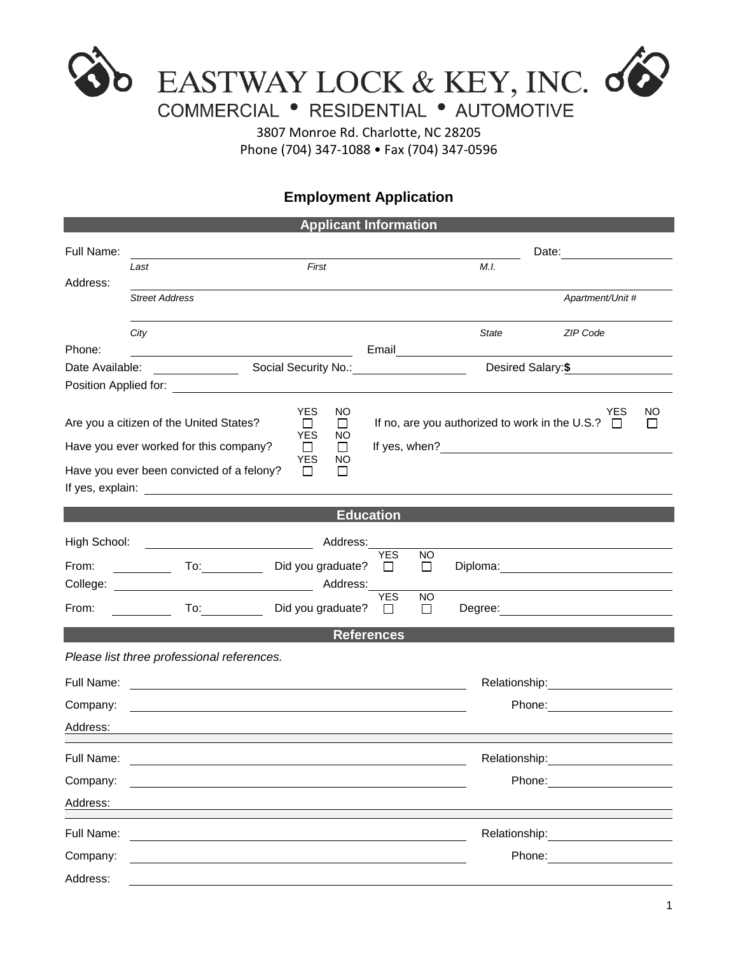

3807 Monroe Rd. Charlotte, NC 28205 Phone (704) 347-1088 • Fax (704) 347-0596

## **Employment Application**

| <b>Applicant Information</b> |                                                                                                                       |                                        |                      |                |               |                                                                     |              |  |
|------------------------------|-----------------------------------------------------------------------------------------------------------------------|----------------------------------------|----------------------|----------------|---------------|---------------------------------------------------------------------|--------------|--|
| Full Name:                   | First<br>Last                                                                                                         |                                        |                      |                |               |                                                                     |              |  |
| Address:                     |                                                                                                                       |                                        |                      | M.I.           |               |                                                                     |              |  |
|                              | <b>Street Address</b>                                                                                                 |                                        |                      |                |               | Apartment/Unit #                                                    |              |  |
|                              | City                                                                                                                  |                                        |                      |                | State         | ZIP Code                                                            |              |  |
| Phone:                       | <u> 1989 - Johann Stoff, fransk politik (d. 1989)</u>                                                                 |                                        |                      |                |               |                                                                     |              |  |
| Date Available:              | Social Security No.: ____________________<br><u> 1999 - Jan Jawa</u>                                                  |                                        | Desired Salary:\$    |                |               |                                                                     |              |  |
|                              | Are you a citizen of the United States?                                                                               | <b>YES</b><br><b>NO</b><br>⊔<br>$\Box$ |                      |                |               | <b>YES</b><br>If no, are you authorized to work in the U.S.? $\Box$ | NO<br>$\Box$ |  |
|                              | <b>YES</b><br>NO<br>Have you ever worked for this company?<br>$\Box$<br>$\perp$                                       |                                        |                      |                |               |                                                                     |              |  |
|                              | Have you ever been convicted of a felony?                                                                             | <b>YES</b><br>NO<br>$\Box$<br>$\Box$   |                      |                |               |                                                                     |              |  |
|                              |                                                                                                                       |                                        | <b>Education</b>     |                |               |                                                                     |              |  |
| High School:                 |                                                                                                                       | Address:                               |                      |                |               |                                                                     |              |  |
| From:                        | $\overline{a}$                                                                                                        | Did you graduate?                      | <b>YES</b><br>$\Box$ | <b>NO</b><br>□ |               |                                                                     |              |  |
| From:                        |                                                                                                                       | Did you graduate?                      | <b>YES</b><br>$\Box$ | NO.<br>$\Box$  |               |                                                                     |              |  |
|                              |                                                                                                                       |                                        | <b>References</b>    |                |               |                                                                     |              |  |
|                              | Please list three professional references.                                                                            |                                        |                      |                |               |                                                                     |              |  |
| Full Name:                   | <u> 1980 - Johann Barn, mars ann an t-Amhain Aonaich an t-Aonaich an t-Aonaich an t-Aonaich an t-Aonaich an t-Aon</u> |                                        |                      |                |               |                                                                     |              |  |
| Company:                     | and the control of the control of the control of the control of the control of the control of the control of the      |                                        |                      |                |               |                                                                     |              |  |
| Address:                     |                                                                                                                       |                                        |                      |                |               |                                                                     |              |  |
| Full Name:                   |                                                                                                                       |                                        |                      |                | Relationship: |                                                                     |              |  |
| Company:                     |                                                                                                                       |                                        |                      |                |               |                                                                     |              |  |
| Address:                     |                                                                                                                       |                                        |                      |                |               |                                                                     |              |  |
| Full Name:                   |                                                                                                                       |                                        |                      |                | Relationship: |                                                                     |              |  |
| Company:                     |                                                                                                                       |                                        |                      |                |               | Phone:                                                              |              |  |
| Address:                     |                                                                                                                       |                                        |                      |                |               |                                                                     |              |  |